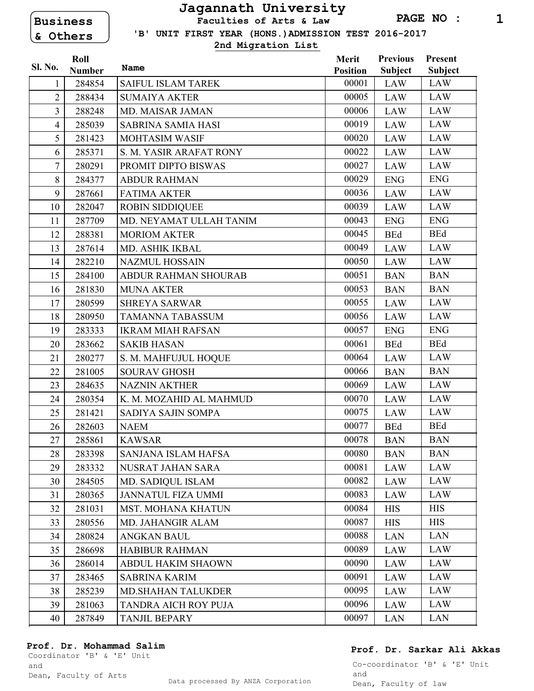# **Business & Others**

## **Jagannath University Faculties of Arts & Law**

 **'B' UNIT FIRST YEAR (HONS.)ADMISSION TEST 2016-2017**

**2nd Migration List**

|                | Roll          |                           | Merit           | <b>Previous</b> | Present        |
|----------------|---------------|---------------------------|-----------------|-----------------|----------------|
| Sl. No.        | <b>Number</b> | Name                      | <b>Position</b> | <b>Subject</b>  | <b>Subject</b> |
| 1              | 284854        | <b>SAIFUL ISLAM TAREK</b> | 00001           | LAW             | <b>LAW</b>     |
| $\overline{2}$ | 288434        | <b>SUMAIYA AKTER</b>      | 00005           | LAW             | LAW            |
| $\overline{3}$ | 288248        | MD. MAISAR JAMAN          | 00006           | LAW             | <b>LAW</b>     |
| $\overline{4}$ | 285039        | <b>SABRINA SAMIA HASI</b> | 00019           | <b>LAW</b>      | <b>LAW</b>     |
| 5              | 281423        | <b>MOHTASIM WASIF</b>     | 00020           | LAW             | <b>LAW</b>     |
| 6              | 285371        | S. M. YASIR ARAFAT RONY   | 00022           | LAW             | <b>LAW</b>     |
| $\overline{7}$ | 280291        | PROMIT DIPTO BISWAS       | 00027           | LAW             | LAW            |
| 8              | 284377        | <b>ABDUR RAHMAN</b>       | 00029           | <b>ENG</b>      | <b>ENG</b>     |
| 9              | 287661        | <b>FATIMA AKTER</b>       | 00036           | LAW             | <b>LAW</b>     |
| 10             | 282047        | <b>ROBIN SIDDIQUEE</b>    | 00039           | LAW             | <b>LAW</b>     |
| 11             | 287709        | MD. NEYAMAT ULLAH TANIM   | 00043           | <b>ENG</b>      | <b>ENG</b>     |
| 12             | 288381        | <b>MORIOM AKTER</b>       | 00045           | <b>BEd</b>      | <b>BEd</b>     |
| 13             | 287614        | MD. ASHIK IKBAL           | 00049           | LAW             | <b>LAW</b>     |
| 14             | 282210        | <b>NAZMUL HOSSAIN</b>     | 00050           | LAW             | <b>LAW</b>     |
| 15             | 284100        | ABDUR RAHMAN SHOURAB      | 00051           | <b>BAN</b>      | <b>BAN</b>     |
| 16             | 281830        | <b>MUNA AKTER</b>         | 00053           | <b>BAN</b>      | <b>BAN</b>     |
| 17             | 280599        | <b>SHREYA SARWAR</b>      | 00055           | <b>LAW</b>      | <b>LAW</b>     |
| 18             | 280950        | <b>TAMANNA TABASSUM</b>   | 00056           | LAW             | <b>LAW</b>     |
| 19             | 283333        | <b>IKRAM MIAH RAFSAN</b>  | 00057           | <b>ENG</b>      | <b>ENG</b>     |
| 20             | 283662        | <b>SAKIB HASAN</b>        | 00061           | <b>BEd</b>      | <b>BEd</b>     |
| 21             | 280277        | S. M. MAHFUJUL HOQUE      | 00064           | <b>LAW</b>      | <b>LAW</b>     |
| 22             | 281005        | <b>SOURAV GHOSH</b>       | 00066           | <b>BAN</b>      | <b>BAN</b>     |
| 23             | 284635        | <b>NAZNIN AKTHER</b>      | 00069           | LAW             | LAW            |
| 24             | 280354        | K. M. MOZAHID AL MAHMUD   | 00070           | LAW             | <b>LAW</b>     |
| 25             | 281421        | SADIYA SAJIN SOMPA        | 00075           | LAW             | <b>LAW</b>     |
| 26             | 282603        | <b>NAEM</b>               | 00077           | <b>BEd</b>      | <b>BEd</b>     |
| 27             | 285861        | <b>KAWSAR</b>             | 00078           | <b>BAN</b>      | <b>BAN</b>     |
| 28             | 283398        | SANJANA ISLAM HAFSA       | 00080           | <b>BAN</b>      | <b>BAN</b>     |
| 29             | 283332        | <b>NUSRAT JAHAN SARA</b>  | 00081           | <b>LAW</b>      | <b>LAW</b>     |
| 30             | 284505        | MD. SADIQUL ISLAM         | 00082           | <b>LAW</b>      | <b>LAW</b>     |
| 31             | 280365        | <b>JANNATUL FIZA UMMI</b> | 00083           | LAW             | LAW            |
| 32             | 281031        | MST. MOHANA KHATUN        | 00084           | <b>HIS</b>      | <b>HIS</b>     |
| 33             | 280556        | MD. JAHANGIR ALAM         | 00087           | <b>HIS</b>      | <b>HIS</b>     |
| 34             | 280824        | ANGKAN BAUL               | 00088           | LAN             | <b>LAN</b>     |
| 35             | 286698        | <b>HABIBUR RAHMAN</b>     | 00089           | LAW             | <b>LAW</b>     |
| 36             | 286014        | <b>ABDUL HAKIM SHAOWN</b> | 00090           | LAW             | LAW            |
| 37             | 283465        | <b>SABRINA KARIM</b>      | 00091           | LAW             | <b>LAW</b>     |
| 38             | 285239        | <b>MD.SHAHAN TALUKDER</b> | 00095           | <b>LAW</b>      | <b>LAW</b>     |
| 39             | 281063        | TANDRA AICH ROY PUJA      | 00096           | LAW             | <b>LAW</b>     |
| 40             | 287849        | <b>TANJIL BEPARY</b>      | 00097           | <b>LAN</b>      | <b>LAN</b>     |

#### **Prof. Dr. Mohammad Salim**

Coordinator 'B' & 'E' Unit and

### **Prof. Dr. Sarkar Ali Akkas**

Co-coordinator 'B' & 'E' Unit and Dean, Faculty of law